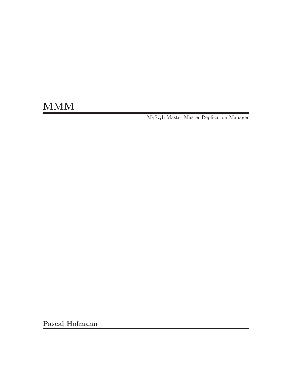# MM<sub>M</sub>

MySQL Master-Master Replication Manager

Pascal Hofmann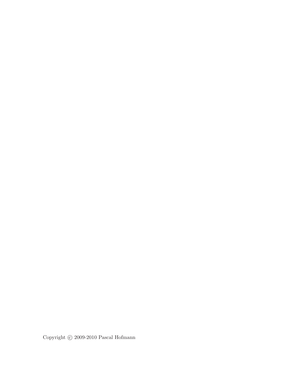Copyright  $\odot$  2009-2010 Pascal Hofmann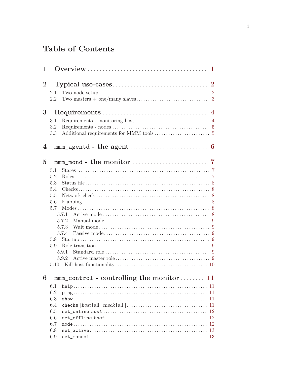# Table of Contents

| $\mathbf 1$    |                                                                                                               |    |
|----------------|---------------------------------------------------------------------------------------------------------------|----|
| $\mathbf{2}$   |                                                                                                               |    |
|                | 2.1                                                                                                           |    |
|                | 2.2                                                                                                           |    |
| 3              |                                                                                                               |    |
|                |                                                                                                               |    |
|                | 3.1                                                                                                           |    |
|                | 3.2<br>3.3                                                                                                    |    |
| 4              |                                                                                                               |    |
| $\overline{5}$ |                                                                                                               |    |
|                | 5.1                                                                                                           |    |
|                | 5.2                                                                                                           |    |
|                | 5.3                                                                                                           |    |
|                | 5.4                                                                                                           |    |
|                | 5.5                                                                                                           |    |
|                | 5.6                                                                                                           |    |
|                | 5.7                                                                                                           |    |
|                | 5.7.1                                                                                                         |    |
|                | 5.7.2                                                                                                         |    |
|                |                                                                                                               |    |
|                |                                                                                                               |    |
|                | 5.8                                                                                                           |    |
|                | 5.9                                                                                                           |    |
|                | 5.9.1                                                                                                         |    |
|                | 5.9.2                                                                                                         |    |
|                | 5.10                                                                                                          |    |
| 6              | $mm\_control$ - controlling the monitor                                                                       | 11 |
|                | 6.1                                                                                                           | 11 |
|                | 6.2                                                                                                           | 11 |
|                | 6.3                                                                                                           | 11 |
|                | 6.4<br>checks $[host   all [check   all] ] \dots \dots \dots \dots \dots \dots \dots \dots \dots \dots \dots$ | 11 |
|                | 6.5                                                                                                           | 12 |
|                | 6.6                                                                                                           | 12 |
|                | 6.7                                                                                                           | 12 |
|                | 6.8                                                                                                           | 13 |
|                | 6.9                                                                                                           |    |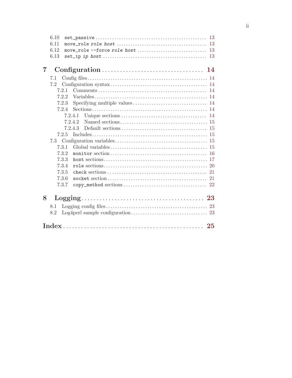|   | 6.10       |         |  |
|---|------------|---------|--|
|   | 6.11       |         |  |
|   | 6.12       |         |  |
|   | 6.13       |         |  |
| 7 |            |         |  |
|   | 7.1        |         |  |
|   | 7.2        |         |  |
|   | 7.2.1      |         |  |
|   | 7.2.2      |         |  |
|   | 7.2.3      |         |  |
|   | 7.2.4      |         |  |
|   |            | 7.2.4.1 |  |
|   |            | 7.2.4.2 |  |
|   |            | 7.2.4.3 |  |
|   | 7.2.5      |         |  |
|   | 7.3        |         |  |
|   | 7.3.1      |         |  |
|   | 7.3.2      |         |  |
|   | 7.3.3      |         |  |
|   | 7.3.4      |         |  |
|   | 7.3.5      |         |  |
|   | 7.3.6      |         |  |
|   | 7.3.7      |         |  |
| 8 |            |         |  |
|   |            |         |  |
|   | 8.1<br>8.2 |         |  |
|   |            |         |  |
|   |            |         |  |

### $\rm ii$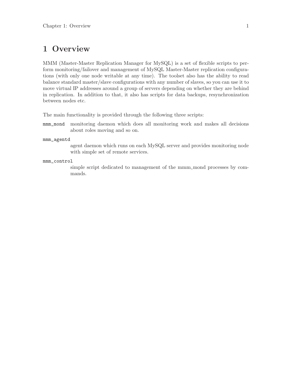### <span id="page-4-0"></span>1 Overview

MMM (Master-Master Replication Manager for MySQL) is a set of flexible scripts to perform monitoring/failover and management of MySQL Master-Master replication configurations (with only one node writable at any time). The toolset also has the ability to read balance standard master/slave configurations with any number of slaves, so you can use it to move virtual IP addresses around a group of servers depending on whether they are behind in replication. In addition to that, it also has scripts for data backups, resynchronization between nodes etc.

The main functionality is provided through the following three scripts:

mmm\_mond monitoring daemon which does all monitoring work and makes all decisions about roles moving and so on.

mmm\_agentd

agent daemon which runs on each MySQL server and provides monitoring node with simple set of remote services.

#### mmm\_control

simple script dedicated to management of the mmm mond processes by commands.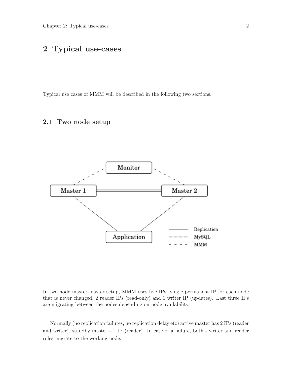### <span id="page-5-0"></span>2 Typical use-cases

Typical use cases of MMM will be described in the following two sections.

#### 2.1 Two node setup



In two node master-master setup, MMM uses five IPs: single permanent IP for each node that is never changed, 2 reader IPs (read-only) and 1 writer IP (updates). Last three IPs are migrating between the nodes depending on node availability.

Normally (no replication failures, no replication delay etc) active master has 2 IPs (reader and writer), standby master - 1 IP (reader). In case of a failure, both - writer and reader roles migrate to the working node.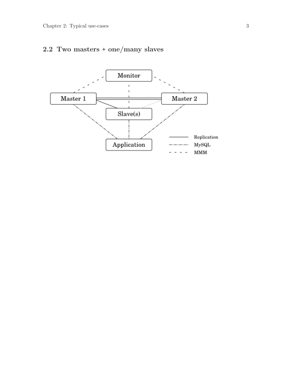### <span id="page-6-0"></span>2.2 Two masters + one/many slaves

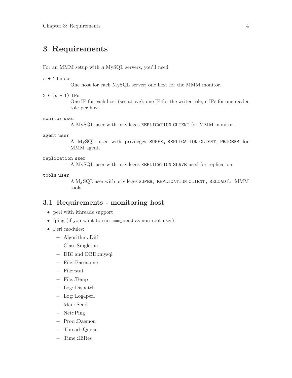### <span id="page-7-0"></span>3 Requirements

For an MMM setup with n MySQL servers, you'll need

#### $n + 1$  hosts

One host for each MySQL server; one host for the MMM monitor.

 $2 * (n + 1)$  IPs

One IP for each host (see above); one IP for the writer role; n IPs for one reader role per host.

#### monitor user

A MySQL user with privileges REPLICATION CLIENT for MMM monitor.

#### agent user

A MySQL user with privileges SUPER, REPLICATION CLIENT, PROCESS for MMM agent.

#### replication user

A MySQL user with privileges REPLICATION SLAVE used for replication.

#### tools user

A MySQL user with privileges SUPER, REPLICATION CLIENT, RELOAD for MMM tools.

#### 3.1 Requirements - monitoring host

- perl with ithreads support
- fping (if you want to run mmm\_mond as non-root user)
- Perl modules:
	- − Algorithm::Diff
	- − Class:Singleton
	- − DBI and DBD::mysql
	- − File::Basename
	- − File::stat
	- − File::Temp
	- − Log::Dispatch
	- − Log::Log4perl
	- − Mail::Send
	- − Net::Ping
	- − Proc::Daemon
	- − Thread::Queue
		-
	- − Time::HiRes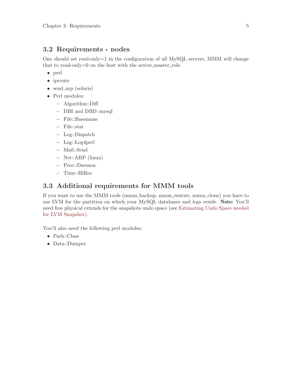#### <span id="page-8-0"></span>3.2 Requirements - nodes

One should set read-only=1 in the configuration of all MySQL servers, MMM will change that to read-only= $0$  on the host with the active master role.

- perl
- iproute
- send<sub>-arp</sub> (solaris)
- Perl modules:
	- − Algorithm::Diff
	- − DBI and DBD::mysql
	- − File::Basename
	- − File::stat
	- − Log::Dispatch
	- − Log::Log4perl
	- − Mail::Send
	- − Net::ARP (linux)
	- − Proc::Daemon
	- − Time::HiRes

#### 3.3 Additional requirements for MMM tools

If you want to use the MMM tools (mmm<sub>-</sub>backup, mmm<sub>-restore, mmm<sub>-clone</sub>) you have to</sub> use LVM for the partition on which your MySQL databases and logs reside. Note: You'll need free physical extends for the snapshots undo space (see [Estimating Undo Space needed](http://www.mysqlperformanceblog.com/2008/06/09/estimating-undo-space-needed-for-lvm-snapshot/) [for LVM Snapshot\)](http://www.mysqlperformanceblog.com/2008/06/09/estimating-undo-space-needed-for-lvm-snapshot/).

You'll also need the following perl modules:

- Path::Class
- Data::Dumper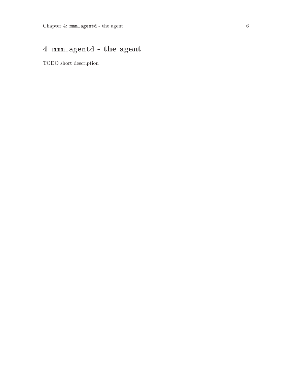# <span id="page-9-0"></span>4 mmm\_agentd - the agent

TODO short description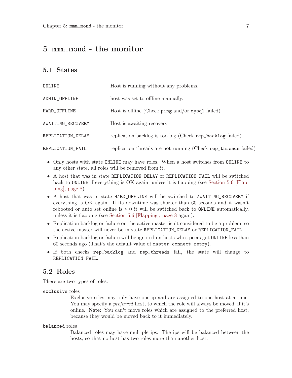### <span id="page-10-0"></span>5 mmm\_mond - the monitor

#### <span id="page-10-1"></span>5.1 States

| ONLINE            | Host is running without any problems.                          |
|-------------------|----------------------------------------------------------------|
| ADMIN_OFFLINE     | host was set to offline manually.                              |
| HARD_OFFLINE      | Host is offline (Check ping and/or mysql failed)               |
| AWAITING_RECOVERY | Host is awaiting recovery                                      |
| REPLICATION_DELAY | replication backlog is too big (Check rep_backlog failed)      |
| REPLICATION_FAIL  | replication threads are not running (Check rep_threads failed) |

- Only hosts with state ONLINE may have roles. When a host switches from ONLINE to any other state, all roles will be removed from it.
- A host that was in state REPLICATION\_DELAY or REPLICATION\_FAIL will be switched back to ONLINE if everything is OK again, unless it is flapping (see [Section 5.6 \[Flap](#page-11-1)[ping\], page 8\)](#page-11-1).
- A host that was in state HARD\_OFFLINE will be switched to AWAITING\_RECOVERY if everything is OK again. If its downtime was shorter than 60 seconds and it wasn't rebooted or auto set online is  $> 0$  it will be switched back to ONLINE automatically, unless it is flapping (see [Section 5.6 \[Flapping\], page 8](#page-11-1) again).
- Replication backlog or failure on the active master isn't considered to be a problem, so the active master will never be in state REPLICATION\_DELAY or REPLICATION\_FAIL.
- Replication backlog or failure will be ignored on hosts whos peers got **ONLINE** less than 60 seconds ago (That's the default value of master-connect-retry).
- If both checks rep\_backlog and rep\_threads fail, the state will change to REPLICATION\_FAIL.

#### <span id="page-10-2"></span>5.2 Roles

There are two types of roles:

exclusive roles

Exclusive roles may only have one ip and are assigned to one host at a time. You may specify a *preferred* host, to which the role will always be moved, if it's online. Note: You can't move roles which are assigned to the preferred host, because they would be moved back to it immediately.

#### balanced roles

Balanced roles may have multiple ips. The ips will be balanced between the hosts, so that no host has two roles more than another host.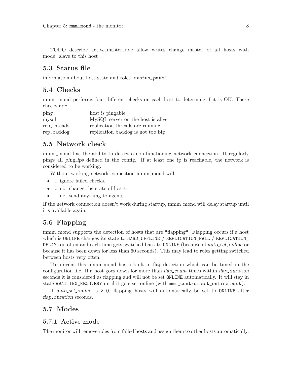<span id="page-11-0"></span>TODO describe active master role allow writes change master of all hosts with mode=slave to this host

#### 5.3 Status file

information about host state and roles 'status\_path'

#### 5.4 Checks

mmm mond performs four different checks on each host to determine if it is OK. These checks are:

| ping        | host is pingable                   |
|-------------|------------------------------------|
| mysql       | MySQL server on the host is alive  |
| rep_threads | replication threads are running    |
| rep_backlog | replication backlog is not too big |

#### 5.5 Network check

mmm mond has the ability to detect a non-functioning network connection. It regularly pings all ping ips defined in the config. If at least one ip is reachable, the network is considered to be working.

Without working network connection mmm\_mond will...

- ... ignore failed checks.
- ... not change the state of hosts.
- ... not send anything to agents.

If the network connection doesn't work during startup, mmm\_mond will delay startup until it's available again.

#### <span id="page-11-1"></span>5.6 Flapping

mmm mond supports the detection of hosts that are "flapping". Flapping occurs if a host which is ONLINE changes its state to HARD\_OFFLINE / REPLICATION\_FAIL / REPLICATION\_ DELAY too often and each time gets switched back to **ONLINE** (because of auto set online or because it has been down for less than 60 seconds). This may lead to roles getting switched between hosts very often.

To prevent this mmm mond has a built in flap-detection which can be tuned in the configuration file. If a host goes down for more than flap-count times within flap-duration seconds it is considered as flapping and will not be set ONLINE automatically. It will stay in state AWAITING\_RECOVERY until it gets set online (with mmm\_control set\_online host).

If auto-set-online is  $> 0$ , flapping hosts will automatically be set to **ONLINE** after flap\_duration seconds.

#### <span id="page-11-2"></span>5.7 Modes

#### 5.7.1 Active mode

The monitor will remove roles from failed hosts and assign them to other hosts automatically.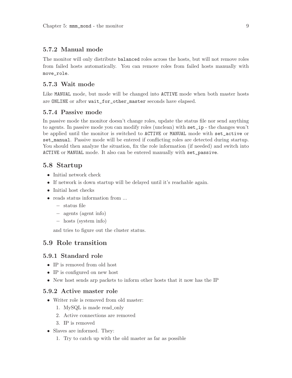#### <span id="page-12-0"></span>5.7.2 Manual mode

The monitor will only distribute balanced roles across the hosts, but will not remove roles from failed hosts automatically. You can remove roles from failed hosts manually with move\_role.

#### 5.7.3 Wait mode

Like MANUAL mode, but mode will be changed into ACTIVE mode when both master hosts are ONLINE or after wait\_for\_other\_master seconds have elapsed.

#### 5.7.4 Passive mode

In passive mode the monitor doesn't change roles, update the status file nor send anything to agents. In passive mode you can modify roles (unclean) with set\_ip - the changes won't be applied until the monitor is switched to ACTIVE or MANUAL mode with set\_active or set\_manual. Passive mode will be entered if conflicting roles are detected during startup. You should then analyze the situation, fix the role information (if needed) and switch into ACTIVE or MANUAL mode. It also can be entered manually with set\_passive.

#### 5.8 Startup

- Initial network check
- If network is down startup will be delayed until it's reachable again.
- Initial host checks
- reads status information from ...
	- − status file
	- − agents (agent info)
	- − hosts (system info)

and tries to figure out the cluster status.

#### 5.9 Role transition

#### 5.9.1 Standard role

- IP is removed from old host
- IP is configured on new host
- New host sends arp packets to inform other hosts that it now has the IP

#### 5.9.2 Active master role

- Writer role is removed from old master:
	- 1. MySQL is made read\_only
	- 2. Active connections are removed
	- 3. IP is removed
- Slaves are informed. They:
	- 1. Try to catch up with the old master as far as possible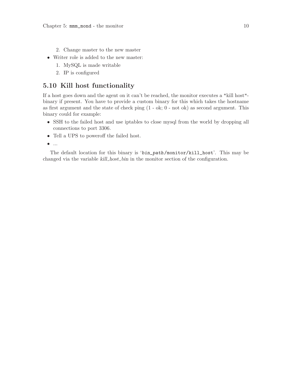- <span id="page-13-0"></span>2. Change master to the new master
- Writer role is added to the new master:
	- 1. MySQL is made writable
	- 2. IP is configured

#### 5.10 Kill host functionality

If a host goes down and the agent on it can't be reached, the monitor executes a "kill host" binary if present. You have to provide a custom binary for this which takes the hostname as first argument and the state of check ping (1 - ok; 0 - not ok) as second argument. This binary could for example:

- SSH to the failed host and use iptables to close mysql from the world by dropping all connections to port 3306.
- Tell a UPS to poweroff the failed host.
- $\bullet$  ...

The default location for this binary is 'bin\_path/monitor/kill\_host'. This may be changed via the variable kill host bin in the monitor section of the configuration.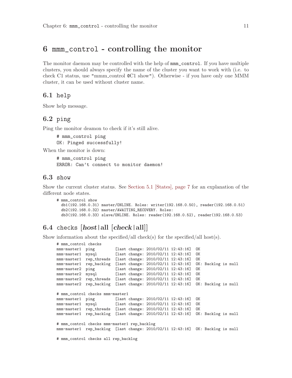### <span id="page-14-0"></span>6 mmm\_control - controlling the monitor

The monitor daemon may be controlled with the help of mmm\_control. If you have multiple clusters, you should always specify the name of the cluster you want to work with (i.e. to check C1 status, use "mmm control @C1 show"). Otherwise - if you have only one MMM cluster, it can be used without cluster name.

#### 6.1 help

Show help message.

#### 6.2 ping

Ping the monitor deamon to check if it's still alive.

# mmm\_control ping OK: Pinged successfully!

When the monitor is down:

# mmm\_control ping ERROR: Can't connect to monitor daemon!

#### 6.3 show

Show the current cluster status. See [Section 5.1 \[States\], page 7](#page-10-1) for an explanation of the different node states.

```
# mmm_control show
  db1(192.168.0.31) master/ONLINE. Roles: writer(192.168.0.50), reader(192.168.0.51)
  db2(192.168.0.32) master/AWAITING_RECOVERY. Roles:
 db3(192.168.0.33) slave/ONLINE. Roles: reader(192.168.0.52), reader(192.168.0.53)
```
### 6.4 checks  $[host|all [check|all]]$

Show information about the specified/all check(s) for the specified/all host(s).

```
# mmm_control checks
mmm-master1 ping [last change: 2010/02/11 12:43:16] OK<br>mmm-master1 mysql [last change: 2010/02/11 12:43:16] OK
                          [last change: 2010/02/11 12:43:16] OK
mmm-master1 rep_threads [last change: 2010/02/11 12:43:16] OK
mmm-master1 rep_backlog [last change: 2010/02/11 12:43:16] OK: Backlog is null
mmm-master2 ping [last change: 2010/02/11 12:43:16] OK<br>mmm-master2 mysql [last change: 2010/02/11 12:43:16] OK
                     [last change: 2010/02/11 12:43:16] OK<br>[last change: 2010/02/11 12:43:16] OK
mmm-master2 rep_threads [last change: 2010/02/11 12:43:16] OK
mmm-master2 rep_backlog [last change: 2010/02/11 12:43:16] OK: Backlog is null
# mmm_control checks mmm-master1
mmm-master1 ping [last change: 2010/02/11 12:43:16] OK
                     [last change: 2010/02/11 12:43:16] OK
mmm-master1 rep_threads [last change: 2010/02/11 12:43:16] OK
mmm-master1 rep_backlog [last change: 2010/02/11 12:43:16] OK: Backlog is null
# mmm_control checks mmm-master1 rep_backlog
mmm-master1 rep_backlog [last change: 2010/02/11 12:43:16] OK: Backlog is null
```
# mmm\_control checks all rep\_backlog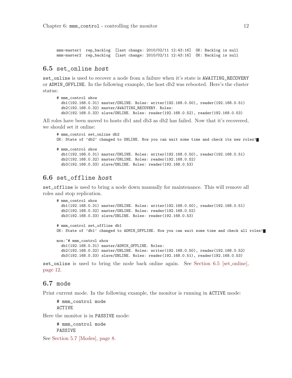<span id="page-15-0"></span>mmm-master1 rep\_backlog [last change: 2010/02/11 12:43:16] OK: Backlog is null mmm-master2 rep\_backlog [last change: 2010/02/11 12:43:16] OK: Backlog is null

#### <span id="page-15-1"></span>6.5 set\_online host

set\_online is used to recover a node from a failure when it's state is AWAITING\_RECOVERY or ADMIN\_OFFLINE. In the following example, the host db2 was rebooted. Here's the cluster status:

```
# mmm_control show
 db1(192.168.0.31) master/ONLINE. Roles: writer(192.168.0.50), reader(192.168.0.51)
 db2(192.168.0.32) master/AWAITING_RECOVERY. Roles:
 db3(192.168.0.33) slave/ONLINE. Roles: reader(192.168.0.52), reader(192.168.0.53)
```
All roles have been moved to hosts db1 and db3 as db2 has failed. Now that it's recovered, we should set it online:

```
# mmm_control set_online db2
OK: State of 'db2' changed to ONLINE. Now you can wait some time and check its new roles!
# mmm_control show
 db1(192.168.0.31) master/ONLINE. Roles: writer(192.168.0.50), reader(192.168.0.51)
 db2(192.168.0.32) master/ONLINE. Roles: reader(192.168.0.52)
 db3(192.168.0.33) slave/ONLINE. Roles: reader(192.168.0.53)
```
#### 6.6 set\_offline host

set\_offline is used to bring a node down manually for maintenance. This will remove all roles and stop replication.

```
# mmm_control show
 db1(192.168.0.31) master/ONLINE. Roles: writer(192.168.0.50), reader(192.168.0.51)
  db2(192.168.0.32) master/ONLINE. Roles: reader(192.168.0.52)
 db3(192.168.0.33) slave/ONLINE. Roles: reader(192.168.0.53)
# mmm_control set_offline db1
OK: State of 'db1' changed to ADMIN_OFFLINE. Now you can wait some time and check all roles!
mon:~# mmm_control show
 db1(192.168.0.31) master/ADMIN_OFFLINE. Roles:
 db2(192.168.0.32) master/ONLINE. Roles: writer(192.168.0.50), reader(192.168.0.52)
 db3(192.168.0.33) slave/ONLINE. Roles: reader(192.168.0.51), reader(192.168.0.53)
```
set\_online is used to bring the node back online again. See [Section 6.5 \[set](#page-15-1)\_online], [page 12](#page-15-1).

#### 6.7 mode

Print current mode. In the following example, the monitor is running in ACTIVE mode:

```
# mmm_control mode
ACTIVE
```
Here the monitor is in PASSIVE mode:

# mmm\_control mode PASSIVE

See [Section 5.7 \[Modes\], page 8.](#page-11-2)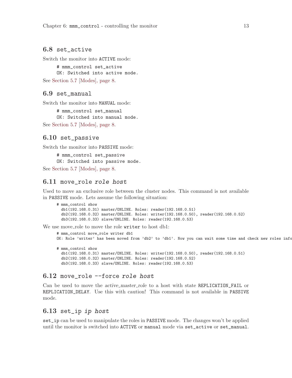#### <span id="page-16-0"></span>6.8 set\_active

Switch the monitor into ACTIVE mode:

# mmm control set active OK: Switched into active mode.

See [Section 5.7 \[Modes\], page 8.](#page-11-2)

#### 6.9 set\_manual

Switch the monitor into MANUAL mode:

# mmm\_control set\_manual OK: Switched into manual mode. See [Section 5.7 \[Modes\], page 8.](#page-11-2)

#### 6.10 set\_passive

Switch the monitor into PASSIVE mode:

# mmm\_control set\_passive OK: Switched into passive mode.

See [Section 5.7 \[Modes\], page 8.](#page-11-2)

#### 6.11 move\_role role host

Used to move an exclusive role between the cluster nodes. This command is not available in PASSIVE mode. Lets assume the following situation:

```
# mmm_control show
  db1(192.168.0.31) master/ONLINE. Roles: reader(192.168.0.51)
  db2(192.168.0.32) master/ONLINE. Roles: writer(192.168.0.50), reader(192.168.0.52)
 db3(192.168.0.33) slave/ONLINE. Roles: reader(192.168.0.53)
```
We use move role to move the role writer to host db1:

```
# mmm_control move_role writer db1
OK: Role 'writer' has been moved from 'db2' to 'db1'. Now you can wait some time and check new roles info
# mmm_control show
 db1(192.168.0.31) master/ONLINE. Roles: writer(192.168.0.50), reader(192.168.0.51)
 db2(192.168.0.32) master/ONLINE. Roles: reader(192.168.0.52)
 db3(192.168.0.33) slave/ONLINE. Roles: reader(192.168.0.53)
```
#### $6.12$  move role  $-$ force role host

Can be used to move the *active master-role* to a host with state REPLICATION<sub>FAIL</sub> or REPLICATION\_DELAY. Use this with caution! This command is not available in PASSIVE mode.

#### 6.13 set\_ip ip host

set\_ip can be used to manipulate the roles in PASSIVE mode. The changes won't be applied until the monitor is switched into ACTIVE or manual mode via set\_active or set\_manual.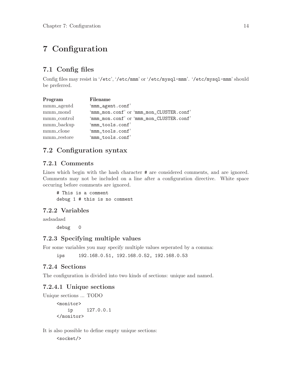### <span id="page-17-0"></span>7 Configuration

### 7.1 Config files

Config files may resist in '/etc', '/etc/mmm' or '/etc/mysql-mmm'. '/etc/mysql-mmm' should be preferred.

| Program               | Filename                                 |
|-----------------------|------------------------------------------|
| mmm <sub>agentd</sub> | 'mmm_agent.conf'                         |
| mmm_mond              | 'mmm_mon.conf' or 'mmm_mon_CLUSTER.conf' |
| mmm_control           | 'mmm_mon.conf' or 'mmm_mon_CLUSTER.conf' |
| mmm <sub>backup</sub> | 'mmm_tools.conf'                         |
| mmm_clone             | 'mmm_tools.conf'                         |
| mmm_restore           | 'mmm_tools.conf'                         |

### 7.2 Configuration syntax

#### 7.2.1 Comments

Lines which begin with the hash character  $\#$  are considered comments, and are ignored. Comments may not be included on a line after a configuration directive. White space occuring before comments are ignored.

# This is a comment debug 1 # this is no comment

#### 7.2.2 Variables

asdsadasd

debug 0

#### 7.2.3 Specifying multiple values

For some variables you may specify multiple values seperated by a comma:

ips 192.168.0.51, 192.168.0.52, 192.168.0.53

#### 7.2.4 Sections

The configuration is divided into two kinds of sections: unique and named.

#### 7.2.4.1 Unique sections

Unique sections ... TODO

<monitor> ip 127.0.0.1 </monitor>

It is also possible to define empty unique sections:

<socket/>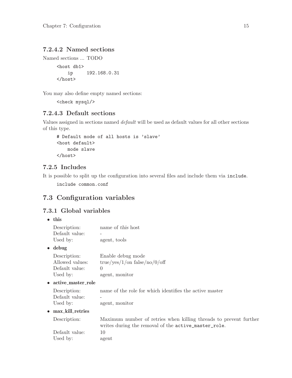#### <span id="page-18-0"></span>7.2.4.2 Named sections

```
Named sections ... TODO
```

```
<host db1>
   ip 192.168.0.31
</host>
```
You may also define empty named sections:

<check mysql/>

#### 7.2.4.3 Default sections

Values assigned in sections named default will be used as default values for all other sections of this type.

```
# Default mode of all hosts is 'slave'
<host default>
    mode slave
</host>
```
#### 7.2.5 Includes

It is possible to split up the configuration into several files and include them via include.

include common.conf

### 7.3 Configuration variables

#### 7.3.1 Global variables

• this

| Description:<br>Default value:                                | name of this host                                                                                                         |
|---------------------------------------------------------------|---------------------------------------------------------------------------------------------------------------------------|
| Used by:                                                      | agent, tools                                                                                                              |
| $\bullet$ debug                                               |                                                                                                                           |
| Description:<br>Allowed values:<br>Default value:<br>Used by: | Enable debug mode<br>true/yes/1/on false/no/0/off<br>$\Omega$<br>agent, monitor                                           |
| $\bullet$ active_master_role                                  |                                                                                                                           |
| Description:<br>Default value:<br>Used by:                    | name of the role for which identifies the active master<br>agent, monitor                                                 |
| $\bullet$ max_kill_retries                                    |                                                                                                                           |
| Description:                                                  | Maximum number of retries when killing threads to prevent further<br>writes during the removal of the active_master_role. |
| Default value:<br>Used by:                                    | 10<br>agent                                                                                                               |
|                                                               |                                                                                                                           |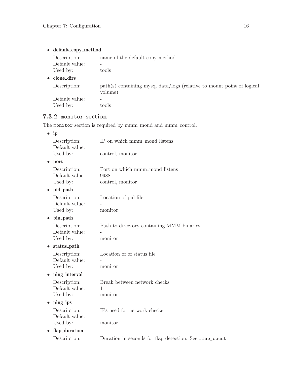<span id="page-19-0"></span> $\bullet~$  default\_copy\_method

Description: name of the default copy method Default value: -Used by: tools

 $\bullet~$  clone<br>\_dirs

Description: path(s) containing mysql data/logs (relative to mount point of logical volume) Default value: -

Used by: tools

#### 7.3.2 monitor section

The monitor section is required by mmm\_mond and mmm\_control.

| IP on which mmm_mond listens                           |
|--------------------------------------------------------|
|                                                        |
| control, monitor                                       |
|                                                        |
| Port on which mmm_mond listens                         |
| 9988                                                   |
| control, monitor                                       |
|                                                        |
| Location of pid-file                                   |
|                                                        |
| monitor                                                |
|                                                        |
| Path to directory containing MMM binaries              |
|                                                        |
| monitor                                                |
|                                                        |
| Location of of status file                             |
|                                                        |
| monitor                                                |
|                                                        |
| Break between network checks                           |
| 1                                                      |
| monitor                                                |
|                                                        |
| IPs used for network checks                            |
|                                                        |
| monitor                                                |
|                                                        |
| Duration in seconds for flap detection. See flap_count |
|                                                        |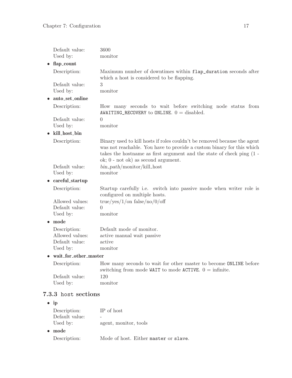<span id="page-20-0"></span>

| Default value:                    | 3600                                                                                                                                                                                                                                                                  |  |  |  |  |  |
|-----------------------------------|-----------------------------------------------------------------------------------------------------------------------------------------------------------------------------------------------------------------------------------------------------------------------|--|--|--|--|--|
| Used by:                          | monitor                                                                                                                                                                                                                                                               |  |  |  |  |  |
| flap_count                        |                                                                                                                                                                                                                                                                       |  |  |  |  |  |
| Description:                      | Maximum number of downtimes within flap_duration seconds after<br>which a host is considered to be flapping.                                                                                                                                                          |  |  |  |  |  |
| Default value:                    | 3                                                                                                                                                                                                                                                                     |  |  |  |  |  |
| Used by:                          | monitor                                                                                                                                                                                                                                                               |  |  |  |  |  |
| auto_set_online                   |                                                                                                                                                                                                                                                                       |  |  |  |  |  |
| Description:                      | How many seconds to wait before switching node status from<br>AWAITING_RECOVERY to ONLINE. $0 =$ disabled.                                                                                                                                                            |  |  |  |  |  |
| Default value:                    | $\theta$                                                                                                                                                                                                                                                              |  |  |  |  |  |
| Used by:                          | monitor                                                                                                                                                                                                                                                               |  |  |  |  |  |
| kill_host_bin                     |                                                                                                                                                                                                                                                                       |  |  |  |  |  |
| Description:                      | Binary used to kill hosts if roles couldn't be removed because the agent<br>was not reachable. You have to provide a custom binary for this which<br>takes the hostname as first argument and the state of check ping $(1 -$<br>ok; $0$ - not ok) as second argument. |  |  |  |  |  |
| Default value:                    | $bin_{{\rm -} path/monitor/kill\_host}$                                                                                                                                                                                                                               |  |  |  |  |  |
| Used by:                          | monitor                                                                                                                                                                                                                                                               |  |  |  |  |  |
| careful_startup                   |                                                                                                                                                                                                                                                                       |  |  |  |  |  |
| Description:                      | Startup carefully i.e. switch into passive mode when writer role is<br>configured on multiple hosts.                                                                                                                                                                  |  |  |  |  |  |
| Allowed values:                   | true/yes/1/on false/no/0/off                                                                                                                                                                                                                                          |  |  |  |  |  |
| Default value:                    | $\Omega$                                                                                                                                                                                                                                                              |  |  |  |  |  |
| Used by:                          | monitor                                                                                                                                                                                                                                                               |  |  |  |  |  |
| mode                              |                                                                                                                                                                                                                                                                       |  |  |  |  |  |
| Description:                      | Default mode of monitor.                                                                                                                                                                                                                                              |  |  |  |  |  |
| Allowed values:                   | active manual wait passive                                                                                                                                                                                                                                            |  |  |  |  |  |
| Default value:                    | active                                                                                                                                                                                                                                                                |  |  |  |  |  |
| Used by:                          | monitor                                                                                                                                                                                                                                                               |  |  |  |  |  |
| wait_for_other_master             |                                                                                                                                                                                                                                                                       |  |  |  |  |  |
| Description:                      | How many seconds to wait for other master to become ONLINE before<br>switching from mode WAIT to mode ACTIVE. $0 = \text{infinite}$ .                                                                                                                                 |  |  |  |  |  |
| Default value:                    | 120                                                                                                                                                                                                                                                                   |  |  |  |  |  |
| Used by:                          | monitor                                                                                                                                                                                                                                                               |  |  |  |  |  |
| 7.3.3 host sections               |                                                                                                                                                                                                                                                                       |  |  |  |  |  |
| ip<br>$\bullet$                   |                                                                                                                                                                                                                                                                       |  |  |  |  |  |
| Description:                      | IP of host                                                                                                                                                                                                                                                            |  |  |  |  |  |
| Default value:                    |                                                                                                                                                                                                                                                                       |  |  |  |  |  |
| Used by:<br>agent, monitor, tools |                                                                                                                                                                                                                                                                       |  |  |  |  |  |

• mode Description: Mode of host. Either master or slave.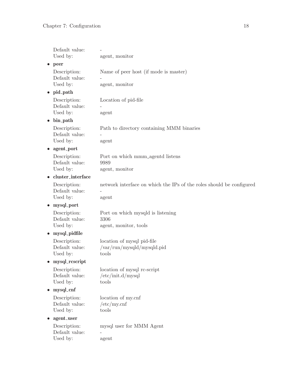| Default value:<br>Used by:                 | agent, monitor                                                                |
|--------------------------------------------|-------------------------------------------------------------------------------|
| peer                                       |                                                                               |
| Description:<br>Default value:<br>Used by: | Name of peer host (if mode is master)<br>agent, monitor                       |
| pid_path<br>$\bullet$                      |                                                                               |
| Description:<br>Default value:<br>Used by: | Location of pid-file<br>agent                                                 |
| bin_path<br>$\bullet$                      |                                                                               |
| Description:<br>Default value:<br>Used by: | Path to directory containing MMM binaries<br>agent                            |
| agent_port                                 |                                                                               |
| Description:<br>Default value:<br>Used by: | Port on which mmm <sub>-agentd</sub> listens<br>9989<br>agent, monitor        |
| cluster_interface                          |                                                                               |
| Description:<br>Default value:<br>Used by: | network interface on which the IPs of the roles should be configured<br>agent |
| mysql_port                                 |                                                                               |
| Description:<br>Default value:<br>Used by: | Port on which mysqld is listening<br>3306<br>agent, monitor, tools            |
| $\bullet$ mysql_pidfile                    |                                                                               |
| Description:<br>Default value:<br>Used by: | location of mysql pid-file<br>/var/run/mysqld/mysqld.pid<br>tools             |
| mysql_rcscript                             |                                                                               |
| Description:<br>Default value:<br>Used by: | location of mysql rc-script<br>/etc/init.d/mysql<br>tools                     |
| mysql_cnf<br>$\bullet$                     |                                                                               |
| Description:<br>Default value:<br>Used by: | location of my.cnf<br>/etc/my.cnf<br>tools                                    |
| agent_user                                 |                                                                               |
| Description:<br>Default value:<br>Used by: | mysql user for MMM Agent<br>agent                                             |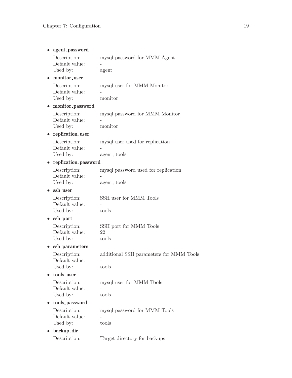|                                            | agent_password       |                                                     |
|--------------------------------------------|----------------------|-----------------------------------------------------|
| Description:<br>Default value:<br>Used by: |                      | mysql password for MMM Agent<br>agent               |
| monitor_user                               |                      |                                                     |
| Description:<br>Default value:<br>Used by: |                      | mysql user for MMM Monitor<br>monitor               |
|                                            | monitor_password     |                                                     |
| Description:<br>Default value:<br>Used by: |                      | mysql password for MMM Monitor<br>monitor           |
| $\bullet$                                  | replication_user     |                                                     |
| Description:<br>Default value:<br>Used by: |                      | mysql user used for replication<br>agent, tools     |
| $\bullet$                                  | replication_password |                                                     |
| Description:<br>Default value:<br>Used by: |                      | mysql password used for replication<br>agent, tools |
| ssh_user                                   |                      |                                                     |
| Description:<br>Default value:<br>Used by: |                      | SSH user for MMM Tools<br>tools                     |
| ssh_port                                   |                      |                                                     |
| Description:<br>Default value:<br>Used by: |                      | SSH port for MMM Tools<br>22<br>tools               |
|                                            | ssh_parameters       |                                                     |
| Description:<br>Default value:<br>Used by: |                      | additional SSH parameters for MMM Tools<br>tools    |
| tools_user                                 |                      |                                                     |
| Description:<br>Default value:<br>Used by: |                      | mysql user for MMM Tools<br>tools                   |
| tools_password<br>$\bullet$                |                      |                                                     |
| Description:<br>Default value:<br>Used by: |                      | mysql password for MMM Tools<br>tools               |
| backup_dir                                 |                      |                                                     |
| Description:                               |                      | Target directory for backups                        |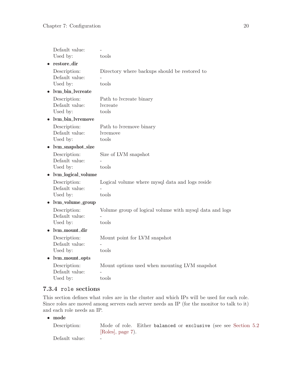<span id="page-23-0"></span>

| Default value:                             |                                                                  |
|--------------------------------------------|------------------------------------------------------------------|
| Used by:                                   | tools                                                            |
| restore_dir                                |                                                                  |
| Description:<br>Default value:<br>Used by: | Directory where backups should be restored to<br>tools           |
| lvm_bin_lvcreate                           |                                                                  |
| Description:<br>Default value:<br>Used by: | Path to lycreate binary<br>lvcreate<br>tools                     |
| lym_bin_lyremove                           |                                                                  |
| Description:<br>Default value:<br>Used by: | Path to lyremove binary<br>lyremove<br>tools                     |
| lvm_snapshot_size                          |                                                                  |
| Description:<br>Default value:<br>Used by: | Size of LVM snapshot<br>tools                                    |
| lvm_logical_volume                         |                                                                  |
| Description:<br>Default value:<br>Used by: | Logical volume where mysql data and logs reside<br>tools         |
| lvm_volume_group                           |                                                                  |
| Description:<br>Default value:<br>Used by: | Volume group of logical volume with mysql data and logs<br>tools |
| lvm_mount_dir                              |                                                                  |
| Description:<br>Default value:<br>Used by: | Mount point for LVM snapshot<br>tools                            |
| lvm_mount_opts                             |                                                                  |
| Description:<br>Default value:<br>Used by: | Mount options used when mounting LVM snapshot<br>tools           |

#### 7.3.4 role sections

This section defines what roles are in the cluster and which IPs will be used for each role. Since roles are moved among servers each server needs an IP (for the monitor to talk to it) and each role needs an IP.

• mode

| Description:   | Mode of role. Either balanced or exclusive (see see Section 5.2) |  |  |  |  |
|----------------|------------------------------------------------------------------|--|--|--|--|
|                | $[Roles]$ , page 7).                                             |  |  |  |  |
| Default value: |                                                                  |  |  |  |  |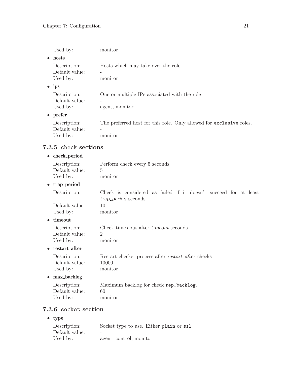<span id="page-24-0"></span>

| Used by:                                   | monitor                                                                                  |
|--------------------------------------------|------------------------------------------------------------------------------------------|
| hosts<br>$\bullet$                         |                                                                                          |
| Description:<br>Default value:<br>Used by: | Hosts which may take over the role<br>monitor                                            |
| ips<br>$\bullet$                           |                                                                                          |
| Description:<br>Default value:<br>Used by: | One or multiple IPs associated with the role<br>agent, monitor                           |
| prefer<br>$\bullet$                        |                                                                                          |
| Description:<br>Default value:<br>Used by: | The preferred host for this role. Only allowed for exclusive roles.<br>monitor           |
| 7.3.5 check sections                       |                                                                                          |
| $\bullet$ check_period                     |                                                                                          |
| Description:<br>Default value:<br>Used by: | Perform check every 5 seconds<br>$\overline{5}$<br>monitor                               |
| trap_period                                |                                                                                          |
| Description:                               | Check is considered as failed if it doesn't succeed for at least<br>trap-period seconds. |
| Dofoult voluo                              | $1 \cap$                                                                                 |

Default value: 10 Used by: monitor

• timeout

| Description:   | Check times out after <i>timeout</i> seconds |
|----------------|----------------------------------------------|
| Default value: |                                              |
| Used by:       | monitor                                      |

#### $\bullet\;\;{\rm restart}\;{\it_{\rm \bf after}}$

| Description:   |         |  | Restart checker process after restart after checks |  |
|----------------|---------|--|----------------------------------------------------|--|
| Default value: | 10000   |  |                                                    |  |
| Used by:       | monitor |  |                                                    |  |

#### $\bullet$  max\_backlog

| Description:   | Maximum backlog for check rep_backlog. |
|----------------|----------------------------------------|
| Default value: |                                        |
| Used by:       | monitor                                |

### 7.3.6 socket section

• type

| Description:   | Socket type to use. Either plain or ssl |
|----------------|-----------------------------------------|
| Default value: | $\overline{\phantom{a}}$                |
| Used by:       | agent, control, monitor                 |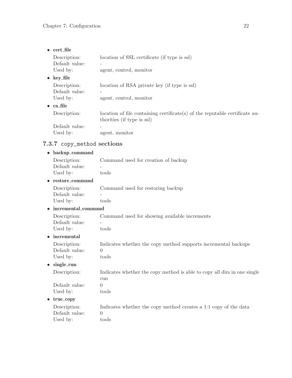<span id="page-25-0"></span>

| $\bullet$ cert file                        |                                                                                                           |
|--------------------------------------------|-----------------------------------------------------------------------------------------------------------|
| Description:<br>Default value:<br>Used by: | location of SSL certificate (if type is ssl)<br>agent, control, monitor                                   |
| $\bullet$ key_file                         |                                                                                                           |
| Description:<br>Default value:<br>Used by: | location of RSA private key (if type is ssl)<br>agent, control, monitor                                   |
| $\bullet$ ca file                          |                                                                                                           |
| Description:                               | location of file containing certificate(s) of the reputable certificate au-<br>thorities (if type is ssl) |
| Default value:<br>Used by:                 | $\qquad \qquad \blacksquare$<br>agent, monitor                                                            |

### 7.3.7 copy\_method sections

| backup_command                             |                                                                                       |
|--------------------------------------------|---------------------------------------------------------------------------------------|
| Description:<br>Default value:             | Command used for creation of backup                                                   |
| Used by:                                   | tools                                                                                 |
| • restore_command                          |                                                                                       |
| Description:<br>Default value:<br>Used by: | Command used for restoring backup<br>tools                                            |
| incremental_command                        |                                                                                       |
| Description:<br>Default value:<br>Used by: | Command used for showing available increments<br>tools                                |
| incremental                                |                                                                                       |
| Description:<br>Default value:<br>Used by: | Indicates whether the copy method supports incremental backups<br>$\Omega$<br>tools   |
| single_run<br>$\bullet$                    |                                                                                       |
| Description:                               | Indicates whether the copy method is able to copy all dirs in one single<br>run       |
| Default value:<br>Used by:                 | $\Omega$<br>tools                                                                     |
| true_copy                                  |                                                                                       |
| Description:<br>Default value:<br>Used by: | Indicates whether the copy method creates a 1:1 copy of the data<br>$\Omega$<br>tools |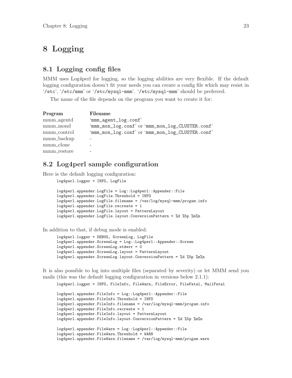### <span id="page-26-0"></span>8 Logging

#### 8.1 Logging config files

MMM uses Log4perl for logging, so the logging abilities are very flexible. If the default logging configuration doesn't fit your needs you can create a config file which may resist in '/etc', '/etc/mmm' or '/etc/mysql-mmm'. '/etc/mysql-mmm' should be preferred.

The name of the file depends on the program you want to create it for:

| Program                 | Filename                                         |
|-------------------------|--------------------------------------------------|
| mm <sub>-agentd</sub>   | 'mmm_agent_log.conf'                             |
| mmm <sub>-mond</sub>    | 'mmm_mon_log.conf' or 'mmm_mon_log_CLUSTER.conf' |
| mmm <sub>-control</sub> | 'mmm_mon_log.conf' or 'mmm_mon_log_CLUSTER.conf' |
| mmm <sub>backup</sub>   |                                                  |
| mmm <sub>-clone</sub>   |                                                  |
| mmm_restore             |                                                  |

#### 8.2 Log4perl sample configuration

Here is the default logging configuration:

```
log4perl.logger = INFO, LogFile
log4perl.appender.LogFile = Log::Log4perl::Appender::File
log4perl.appender.LogFile.Threshold = INFO
log4perl.appender.LogFile.filename = /var/log/mysql-mmm/progam.info
log4perl.appender.LogFile.recreate = 1
log4perl.appender.LogFile.layout = PatternLayout
log4perl.appender.LogFile.layout.ConversionPattern = %d %5p %m%n
```
In addition to that, if debug mode is enabled:

```
log4perl.logger = DEBUG, ScreenLog, LogFile
log4perl.appender.ScreenLog = Log::Log4perl::Appender::Screen
log4perl.appender.ScreenLog.stderr = 0
log4perl.appender.ScreenLog.layout = PatternLayout
log4perl.appender.ScreenLog.layout.ConversionPattern = %d %5p %m%n
```
It is also possible to log into multiple files (separated by severity) or let MMM send you mails (this was the default logging configuration in versions below 2.1.1):

```
log4perl.logger = INFO, FileInfo, FileWarn, FileError, FileFatal, MailFatal
log4perl.appender.FileInfo = Log::Log4perl::Appender::File
log4perl.appender.FileInfo.Threshold = INFO
log4perl.appender.FileInfo.filename = /var/log/mysql-mmm/progam.info
log4perl.appender.FileInfo.recreate = 1
log4perl.appender.FileInfo.layout = PatternLayout
log4perl.appender.FileInfo.layout.ConversionPattern = %d %5p %m%n
log4perl.appender.FileWarn = Log::Log4perl::Appender::File
log4perl.appender.FileWarn.Threshold = WARN
log4perl.appender.FileWarn.filename = /var/log/mysql-mmm/progam.warn
```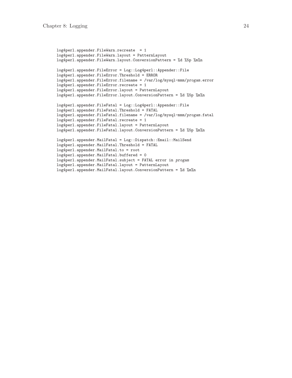```
log4perl.appender.FileWarn.recreate = 1
log4perl.appender.FileWarn.layout = PatternLayout
log4perl.appender.FileWarn.layout.ConversionPattern = %d %5p %m%n
log4perl.appender.FileError = Log::Log4perl::Appender::File
log4perl.appender.FileError.Threshold = ERROR
log4perl.appender.FileError.filename = /var/log/mysql-mmm/progam.error
log4perl.appender.FileError.recreate = 1
log4perl.appender.FileError.layout = PatternLayout
log4perl.appender.FileError.layout.ConversionPattern = %d %5p %m%n
log4perl.appender.FileFatal = Log::Log4perl::Appender::File
log4perl.appender.FileFatal.Threshold = FATAL
log4perl.appender.FileFatal.filename = /var/log/mysql-mmm/progam.fatal
log4perl.appender.FileFatal.recreate = 1
log4perl.appender.FileFatal.layout = PatternLayout
log4perl.appender.FileFatal.layout.ConversionPattern = %d %5p %m%n
log4perl.appender.MailFatal = Log::Dispatch::Email::MailSend
log4perl.appender.MailFatal.Threshold = FATAL
log4perl.appender.MailFatal.to = root
log4perl.appender.MailFatal.buffered = 0
log4perl.appender.MailFatal.subject = FATAL error in progam
log4perl.appender.MailFatal.layout = PatternLayout
log4perl.appender.MailFatal.layout.ConversionPattern = %d %m%n
```